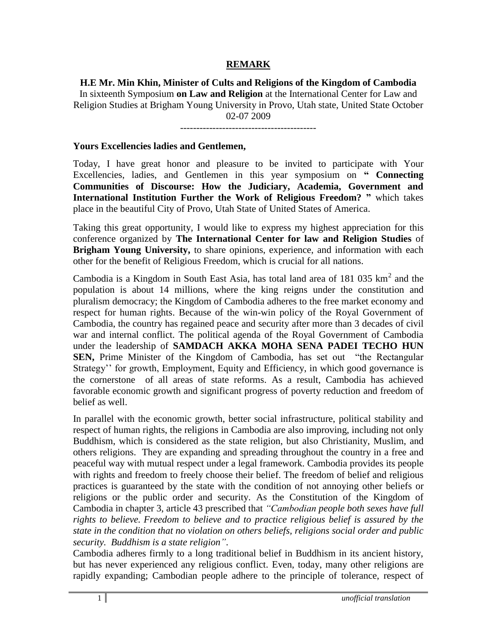## **REMARK**

## **H.E Mr. Min Khin, Minister of Cults and Religions of the Kingdom of Cambodia**

In sixteenth Symposium **on Law and Religion** at the International Center for Law and Religion Studies at Brigham Young University in Provo, Utah state, United State October 02-07 2009

------------------------------------------

## **Yours Excellencies ladies and Gentlemen,**

Today, I have great honor and pleasure to be invited to participate with Your Excellencies, ladies, and Gentlemen in this year symposium on **" Connecting Communities of Discourse: How the Judiciary, Academia, Government and International Institution Further the Work of Religious Freedom? "** which takes place in the beautiful City of Provo, Utah State of United States of America.

Taking this great opportunity, I would like to express my highest appreciation for this conference organized by **The International Center for law and Religion Studies** of **Brigham Young University,** to share opinions, experience, and information with each other for the benefit of Religious Freedom, which is crucial for all nations.

Cambodia is a Kingdom in South East Asia, has total land area of  $181\,035\ \mathrm{km}^2$  and the population is about 14 millions, where the king reigns under the constitution and pluralism democracy; the Kingdom of Cambodia adheres to the free market economy and respect for human rights. Because of the win-win policy of the Royal Government of Cambodia, the country has regained peace and security after more than 3 decades of civil war and internal conflict. The political agenda of the Royal Government of Cambodia under the leadership of **SAMDACH AKKA MOHA SENA PADEI TECHO HUN SEN,** Prime Minister of the Kingdom of Cambodia, has set out "the Rectangular Strategy'' for growth, Employment, Equity and Efficiency, in which good governance is the cornerstone of all areas of state reforms. As a result, Cambodia has achieved favorable economic growth and significant progress of poverty reduction and freedom of belief as well.

In parallel with the economic growth, better social infrastructure, political stability and respect of human rights, the religions in Cambodia are also improving, including not only Buddhism, which is considered as the state religion, but also Christianity, Muslim, and others religions. They are expanding and spreading throughout the country in a free and peaceful way with mutual respect under a legal framework. Cambodia provides its people with rights and freedom to freely choose their belief. The freedom of belief and religious practices is guaranteed by the state with the condition of not annoying other beliefs or religions or the public order and security. As the Constitution of the Kingdom of Cambodia in chapter 3, article 43 prescribed that *"Cambodian people both sexes have full rights to believe. Freedom to believe and to practice religious belief is assured by the state in the condition that no violation on others beliefs, religions social order and public security. Buddhism is a state religion"*.

Cambodia adheres firmly to a long traditional belief in Buddhism in its ancient history, but has never experienced any religious conflict. Even, today, many other religions are rapidly expanding; Cambodian people adhere to the principle of tolerance, respect of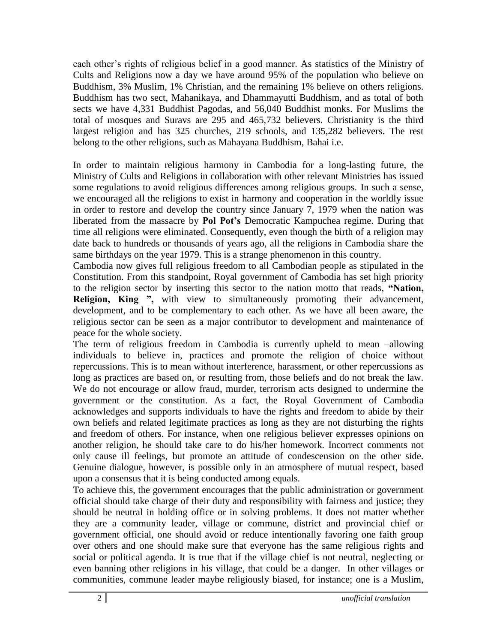each other's rights of religious belief in a good manner. As statistics of the Ministry of Cults and Religions now a day we have around 95% of the population who believe on Buddhism, 3% Muslim, 1% Christian, and the remaining 1% believe on others religions. Buddhism has two sect, Mahanikaya, and Dhammayutti Buddhism, and as total of both sects we have 4,331 Buddhist Pagodas, and 56,040 Buddhist monks. For Muslims the total of mosques and Suravs are 295 and 465,732 believers. Christianity is the third largest religion and has 325 churches, 219 schools, and 135,282 believers. The rest belong to the other religions, such as Mahayana Buddhism, Bahai i.e.

In order to maintain religious harmony in Cambodia for a long-lasting future, the Ministry of Cults and Religions in collaboration with other relevant Ministries has issued some regulations to avoid religious differences among religious groups. In such a sense, we encouraged all the religions to exist in harmony and cooperation in the worldly issue in order to restore and develop the country since January 7, 1979 when the nation was liberated from the massacre by **Pol Pot's** Democratic Kampuchea regime. During that time all religions were eliminated. Consequently, even though the birth of a religion may date back to hundreds or thousands of years ago, all the religions in Cambodia share the same birthdays on the year 1979. This is a strange phenomenon in this country.

Cambodia now gives full religious freedom to all Cambodian people as stipulated in the Constitution. From this standpoint, Royal government of Cambodia has set high priority to the religion sector by inserting this sector to the nation motto that reads, **"Nation, Religion, King ",** with view to simultaneously promoting their advancement, development, and to be complementary to each other. As we have all been aware, the religious sector can be seen as a major contributor to development and maintenance of peace for the whole society.

The term of religious freedom in Cambodia is currently upheld to mean –allowing individuals to believe in, practices and promote the religion of choice without repercussions. This is to mean without interference, harassment, or other repercussions as long as practices are based on, or resulting from, those beliefs and do not break the law. We do not encourage or allow fraud, murder, terrorism acts designed to undermine the government or the constitution. As a fact, the Royal Government of Cambodia acknowledges and supports individuals to have the rights and freedom to abide by their own beliefs and related legitimate practices as long as they are not disturbing the rights and freedom of others. For instance, when one religious believer expresses opinions on another religion, he should take care to do his/her homework. Incorrect comments not only cause ill feelings, but promote an attitude of condescension on the other side. Genuine dialogue, however, is possible only in an atmosphere of mutual respect, based upon a consensus that it is being conducted among equals.

To achieve this, the government encourages that the public administration or government official should take charge of their duty and responsibility with fairness and justice; they should be neutral in holding office or in solving problems. It does not matter whether they are a community leader, village or commune, district and provincial chief or government official, one should avoid or reduce intentionally favoring one faith group over others and one should make sure that everyone has the same religious rights and social or political agenda. It is true that if the village chief is not neutral, neglecting or even banning other religions in his village, that could be a danger. In other villages or communities, commune leader maybe religiously biased, for instance; one is a Muslim,